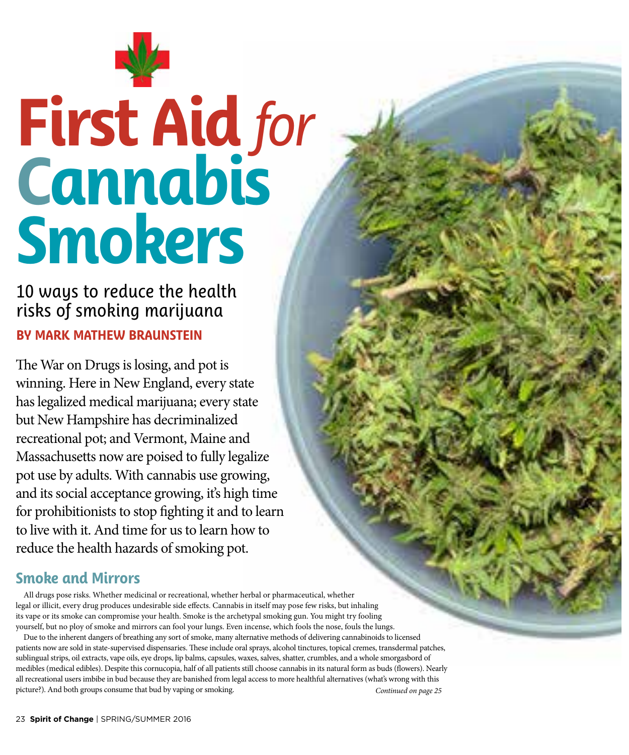

# **First Aid** *for* **Cannabis Smokers**

10 ways to reduce the health risks of smoking marijuana **BY MARK MATHEW BRAUNSTEIN**

The War on Drugs is losing, and pot is winning. Here in New England, every state has legalized medical marijuana; every state but New Hampshire has decriminalized recreational pot; and Vermont, Maine and Massachusetts now are poised to fully legalize pot use by adults. With cannabis use growing, and its social acceptance growing, it's high time for prohibitionists to stop fghting it and to learn to live with it. And time for us to learn how to reduce the health hazards of smoking pot.

## **Smoke and Mirrors**

All drugs pose risks. Whether medicinal or recreational, whether herbal or pharmaceutical, whether legal or illicit, every drug produces undesirable side efects. Cannabis in itself may pose few risks, but inhaling its vape or its smoke can compromise your health. Smoke is the archetypal smoking gun. You might try fooling yourself, but no ploy of smoke and mirrors can fool your lungs. Even incense, which fools the nose, fouls the lungs.

Due to the inherent dangers of breathing any sort of smoke, many alternative methods of delivering cannabinoids to licensed patients now are sold in state-supervised dispensaries. These include oral sprays, alcohol tinctures, topical cremes, transdermal patches, sublingual strips, oil extracts, vape oils, eye drops, lip balms, capsules, waxes, salves, shatter, crumbles, and a whole smorgasbord of medibles (medical edibles). Despite this cornucopia, half of all patients still choose cannabis in its natural form as buds (fowers). Nearly all recreational users imbibe in bud because they are banished from legal access to more healthful alternatives (what's wrong with this picture?). And both groups consume that bud by vaping or smoking. *Continued on page 25*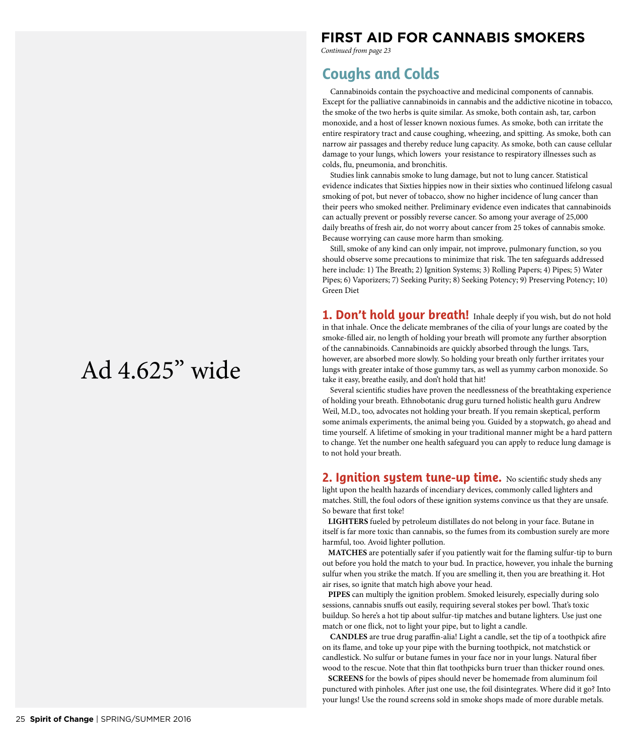# Ad 4.625" wide

## **FIRST AID FOR CANNABIS SMOKERS**

*Continued from page 23*

## **Coughs and Colds**

Cannabinoids contain the psychoactive and medicinal components of cannabis. Except for the palliative cannabinoids in cannabis and the addictive nicotine in tobacco, the smoke of the two herbs is quite similar. As smoke, both contain ash, tar, carbon monoxide, and a host of lesser known noxious fumes. As smoke, both can irritate the entire respiratory tract and cause coughing, wheezing, and spitting. As smoke, both can narrow air passages and thereby reduce lung capacity. As smoke, both can cause cellular damage to your lungs, which lowers your resistance to respiratory illnesses such as colds, fu, pneumonia, and bronchitis.

Studies link cannabis smoke to lung damage, but not to lung cancer. Statistical evidence indicates that Sixties hippies now in their sixties who continued lifelong casual smoking of pot, but never of tobacco, show no higher incidence of lung cancer than their peers who smoked neither. Preliminary evidence even indicates that cannabinoids can actually prevent or possibly reverse cancer. So among your average of 25,000 daily breaths of fresh air, do not worry about cancer from 25 tokes of cannabis smoke. Because worrying can cause more harm than smoking.

Still, smoke of any kind can only impair, not improve, pulmonary function, so you should observe some precautions to minimize that risk. The ten safeguards addressed here include: 1) The Breath; 2) Ignition Systems; 3) Rolling Papers; 4) Pipes; 5) Water Pipes; 6) Vaporizers; 7) Seeking Purity; 8) Seeking Potency; 9) Preserving Potency; 10) Green Diet

**1. Don't hold your breath!** Inhale deeply if you wish, but do not hold in that inhale. Once the delicate membranes of the cilia of your lungs are coated by the smoke-flled air, no length of holding your breath will promote any further absorption of the cannabinoids. Cannabinoids are quickly absorbed through the lungs. Tars, however, are absorbed more slowly. So holding your breath only further irritates your lungs with greater intake of those gummy tars, as well as yummy carbon monoxide. So take it easy, breathe easily, and don't hold that hit!

Several scientifc studies have proven the needlessness of the breathtaking experience of holding your breath. Ethnobotanic drug guru turned holistic health guru Andrew Weil, M.D., too, advocates not holding your breath. If you remain skeptical, perform some animals experiments, the animal being you. Guided by a stopwatch, go ahead and time yourself. A lifetime of smoking in your traditional manner might be a hard pattern to change. Yet the number one health safeguard you can apply to reduce lung damage is to not hold your breath.

**2. Ignition system tune-up time.** No scientific study sheds any light upon the health hazards of incendiary devices, commonly called lighters and matches. Still, the foul odors of these ignition systems convince us that they are unsafe. So beware that frst toke!

**LIGHTERS** fueled by petroleum distillates do not belong in your face. Butane in itself is far more toxic than cannabis, so the fumes from its combustion surely are more harmful, too. Avoid lighter pollution.

**MATCHES** are potentially safer if you patiently wait for the faming sulfur-tip to burn out before you hold the match to your bud. In practice, however, you inhale the burning sulfur when you strike the match. If you are smelling it, then you are breathing it. Hot air rises, so ignite that match high above your head.

**PIPES** can multiply the ignition problem. Smoked leisurely, especially during solo sessions, cannabis snufs out easily, requiring several stokes per bowl. Tat's toxic buildup. So here's a hot tip about sulfur-tip matches and butane lighters. Use just one match or one fick, not to light your pipe, but to light a candle.

**CANDLES** are true drug parafn-alia! Light a candle, set the tip of a toothpick afre on its fame, and toke up your pipe with the burning toothpick, not matchstick or candlestick. No sulfur or butane fumes in your face nor in your lungs. Natural fber wood to the rescue. Note that thin fat toothpicks burn truer than thicker round ones.

**SCREENS** for the bowls of pipes should never be homemade from aluminum foil punctured with pinholes. Afer just one use, the foil disintegrates. Where did it go? Into your lungs! Use the round screens sold in smoke shops made of more durable metals.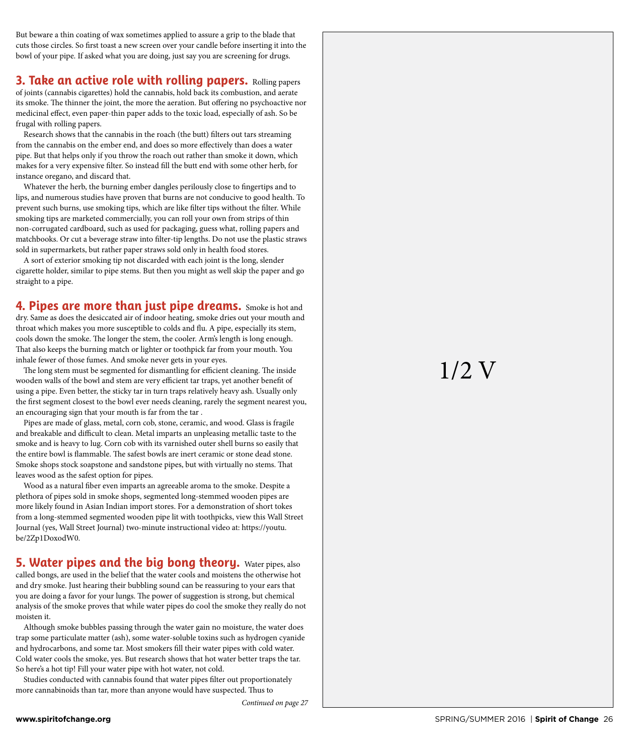But beware a thin coating of wax sometimes applied to assure a grip to the blade that cuts those circles. So frst toast a new screen over your candle before inserting it into the bowl of your pipe. If asked what you are doing, just say you are screening for drugs.

#### **3. Take an active role with rolling papers.** Rolling papers

of joints (cannabis cigarettes) hold the cannabis, hold back its combustion, and aerate its smoke. The thinner the joint, the more the aeration. But offering no psychoactive nor medicinal efect, even paper-thin paper adds to the toxic load, especially of ash. So be frugal with rolling papers.

Research shows that the cannabis in the roach (the butt) flters out tars streaming from the cannabis on the ember end, and does so more efectively than does a water pipe. But that helps only if you throw the roach out rather than smoke it down, which makes for a very expensive flter. So instead fll the butt end with some other herb, for instance oregano, and discard that.

Whatever the herb, the burning ember dangles perilously close to fngertips and to lips, and numerous studies have proven that burns are not conducive to good health. To prevent such burns, use smoking tips, which are like flter tips without the flter. While smoking tips are marketed commercially, you can roll your own from strips of thin non-corrugated cardboard, such as used for packaging, guess what, rolling papers and matchbooks. Or cut a beverage straw into flter-tip lengths. Do not use the plastic straws sold in supermarkets, but rather paper straws sold only in health food stores.

A sort of exterior smoking tip not discarded with each joint is the long, slender cigarette holder, similar to pipe stems. But then you might as well skip the paper and go straight to a pipe.

**4. Pipes are more than just pipe dreams.** Smoke is hot and dry. Same as does the desiccated air of indoor heating, smoke dries out your mouth and throat which makes you more susceptible to colds and fu. A pipe, especially its stem, cools down the smoke. The longer the stem, the cooler. Arm's length is long enough. That also keeps the burning match or lighter or toothpick far from your mouth. You inhale fewer of those fumes. And smoke never gets in your eyes.

The long stem must be segmented for dismantling for efficient cleaning. The inside wooden walls of the bowl and stem are very efficient tar traps, yet another benefit of using a pipe. Even better, the sticky tar in turn traps relatively heavy ash. Usually only the frst segment closest to the bowl ever needs cleaning, rarely the segment nearest you, an encouraging sign that your mouth is far from the tar .

Pipes are made of glass, metal, corn cob, stone, ceramic, and wood. Glass is fragile and breakable and difficult to clean. Metal imparts an unpleasing metallic taste to the smoke and is heavy to lug. Corn cob with its varnished outer shell burns so easily that the entire bowl is flammable. The safest bowls are inert ceramic or stone dead stone. Smoke shops stock soapstone and sandstone pipes, but with virtually no stems. That leaves wood as the safest option for pipes.

Wood as a natural fber even imparts an agreeable aroma to the smoke. Despite a plethora of pipes sold in smoke shops, segmented long-stemmed wooden pipes are more likely found in Asian Indian import stores. For a demonstration of short tokes from a long-stemmed segmented wooden pipe lit with toothpicks, view this Wall Street Journal (yes, Wall Street Journal) two-minute instructional video at: https://youtu. be/2Zp1DoxodW0.

#### **5. Water pipes and the big bong theory.** Water pipes, also

called bongs, are used in the belief that the water cools and moistens the otherwise hot and dry smoke. Just hearing their bubbling sound can be reassuring to your ears that you are doing a favor for your lungs. The power of suggestion is strong, but chemical analysis of the smoke proves that while water pipes do cool the smoke they really do not moisten it.

Although smoke bubbles passing through the water gain no moisture, the water does trap some particulate matter (ash), some water-soluble toxins such as hydrogen cyanide and hydrocarbons, and some tar. Most smokers fll their water pipes with cold water. Cold water cools the smoke, yes. But research shows that hot water better traps the tar. So here's a hot tip! Fill your water pipe with hot water, not cold.

Studies conducted with cannabis found that water pipes flter out proportionately more cannabinoids than tar, more than anyone would have suspected. Thus to

*Continued on page 27*

# 1/2 V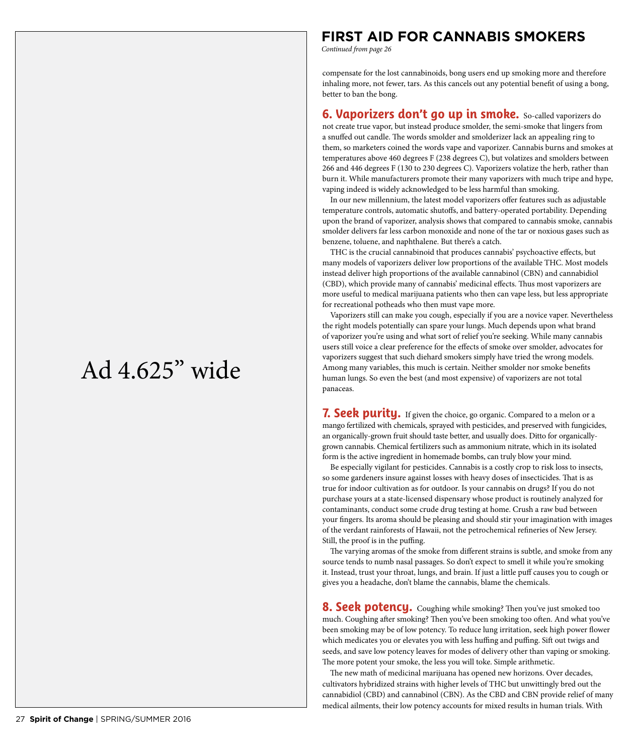### **FIRST AID FOR CANNABIS SMOKERS**

*Continued from page 26*

compensate for the lost cannabinoids, bong users end up smoking more and therefore inhaling more, not fewer, tars. As this cancels out any potential beneft of using a bong, better to ban the bong.

**6. Vaporizers don't go up in smoke.** So-called vaporizers do not create true vapor, but instead produce smolder, the semi-smoke that lingers from a snuffed out candle. The words smolder and smolderizer lack an appealing ring to them, so marketers coined the words vape and vaporizer. Cannabis burns and smokes at temperatures above 460 degrees F (238 degrees C), but volatizes and smolders between 266 and 446 degrees F (130 to 230 degrees C). Vaporizers volatize the herb, rather than burn it. While manufacturers promote their many vaporizers with much tripe and hype, vaping indeed is widely acknowledged to be less harmful than smoking.

In our new millennium, the latest model vaporizers offer features such as adjustable temperature controls, automatic shutofs, and battery-operated portability. Depending upon the brand of vaporizer, analysis shows that compared to cannabis smoke, cannabis smolder delivers far less carbon monoxide and none of the tar or noxious gases such as benzene, toluene, and naphthalene. But there's a catch.

THC is the crucial cannabinoid that produces cannabis' psychoactive efects, but many models of vaporizers deliver low proportions of the available THC. Most models instead deliver high proportions of the available cannabinol (CBN) and cannabidiol (CBD), which provide many of cannabis' medicinal effects. Thus most vaporizers are more useful to medical marijuana patients who then can vape less, but less appropriate for recreational potheads who then must vape more.

Vaporizers still can make you cough, especially if you are a novice vaper. Nevertheless the right models potentially can spare your lungs. Much depends upon what brand of vaporizer you're using and what sort of relief you're seeking. While many cannabis users still voice a clear preference for the efects of smoke over smolder, advocates for vaporizers suggest that such diehard smokers simply have tried the wrong models. Among many variables, this much is certain. Neither smolder nor smoke benefts human lungs. So even the best (and most expensive) of vaporizers are not total panaceas.

7. Seek purity. If given the choice, go organic. Compared to a melon or a mango fertilized with chemicals, sprayed with pesticides, and preserved with fungicides, an organically-grown fruit should taste better, and usually does. Ditto for organicallygrown cannabis. Chemical fertilizers such as ammonium nitrate, which in its isolated form is the active ingredient in homemade bombs, can truly blow your mind.

Be especially vigilant for pesticides. Cannabis is a costly crop to risk loss to insects, so some gardeners insure against losses with heavy doses of insecticides. That is as true for indoor cultivation as for outdoor. Is your cannabis on drugs? If you do not purchase yours at a state-licensed dispensary whose product is routinely analyzed for contaminants, conduct some crude drug testing at home. Crush a raw bud between your fngers. Its aroma should be pleasing and should stir your imagination with images of the verdant rainforests of Hawaii, not the petrochemical refneries of New Jersey. Still, the proof is in the puffing.

The varying aromas of the smoke from different strains is subtle, and smoke from any source tends to numb nasal passages. So don't expect to smell it while you're smoking it. Instead, trust your throat, lungs, and brain. If just a little puf causes you to cough or gives you a headache, don't blame the cannabis, blame the chemicals.

**8. Seek potency.** Coughing while smoking? Then you've just smoked too much. Coughing after smoking? Then you've been smoking too often. And what you've been smoking may be of low potency. To reduce lung irritation, seek high power flower which medicates you or elevates you with less huffing and puffing. Sift out twigs and seeds, and save low potency leaves for modes of delivery other than vaping or smoking. The more potent your smoke, the less you will toke. Simple arithmetic.

The new math of medicinal marijuana has opened new horizons. Over decades, cultivators hybridized strains with higher levels of THC but unwittingly bred out the cannabidiol (CBD) and cannabinol (CBN). As the CBD and CBN provide relief of many medical ailments, their low potency accounts for mixed results in human trials. With

# Ad 4.625" wide